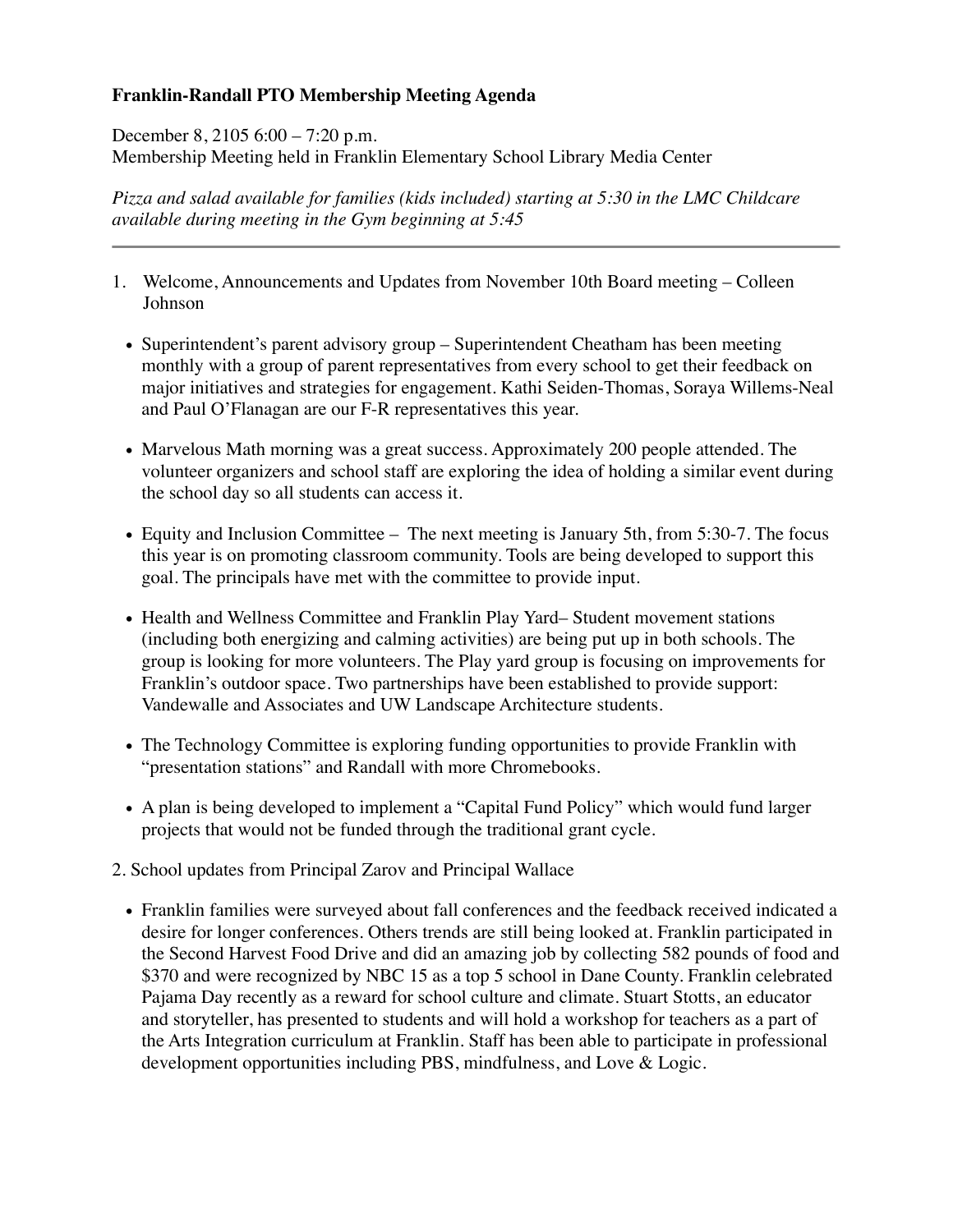## **Franklin-Randall PTO Membership Meeting Agenda**

December 8, 2105 6:00 – 7:20 p.m. Membership Meeting held in Franklin Elementary School Library Media Center

*Pizza and salad available for families (kids included) starting at 5:30 in the LMC Childcare available during meeting in the Gym beginning at 5:45* 

- 1. Welcome, Announcements and Updates from November 10th Board meeting Colleen Johnson
	- Superintendent's parent advisory group Superintendent Cheatham has been meeting monthly with a group of parent representatives from every school to get their feedback on major initiatives and strategies for engagement. Kathi Seiden-Thomas, Soraya Willems-Neal and Paul O'Flanagan are our F-R representatives this year.
	- Marvelous Math morning was a great success. Approximately 200 people attended. The volunteer organizers and school staff are exploring the idea of holding a similar event during the school day so all students can access it.
	- Equity and Inclusion Committee The next meeting is January 5th, from 5:30-7. The focus this year is on promoting classroom community. Tools are being developed to support this goal. The principals have met with the committee to provide input.
	- Health and Wellness Committee and Franklin Play Yard– Student movement stations (including both energizing and calming activities) are being put up in both schools. The group is looking for more volunteers. The Play yard group is focusing on improvements for Franklin's outdoor space. Two partnerships have been established to provide support: Vandewalle and Associates and UW Landscape Architecture students.
	- The Technology Committee is exploring funding opportunities to provide Franklin with "presentation stations" and Randall with more Chromebooks.
	- A plan is being developed to implement a "Capital Fund Policy" which would fund larger projects that would not be funded through the traditional grant cycle.
- 2. School updates from Principal Zarov and Principal Wallace
	- Franklin families were surveyed about fall conferences and the feedback received indicated a desire for longer conferences. Others trends are still being looked at. Franklin participated in the Second Harvest Food Drive and did an amazing job by collecting 582 pounds of food and \$370 and were recognized by NBC 15 as a top 5 school in Dane County. Franklin celebrated Pajama Day recently as a reward for school culture and climate. Stuart Stotts, an educator and storyteller, has presented to students and will hold a workshop for teachers as a part of the Arts Integration curriculum at Franklin. Staff has been able to participate in professional development opportunities including PBS, mindfulness, and Love & Logic.